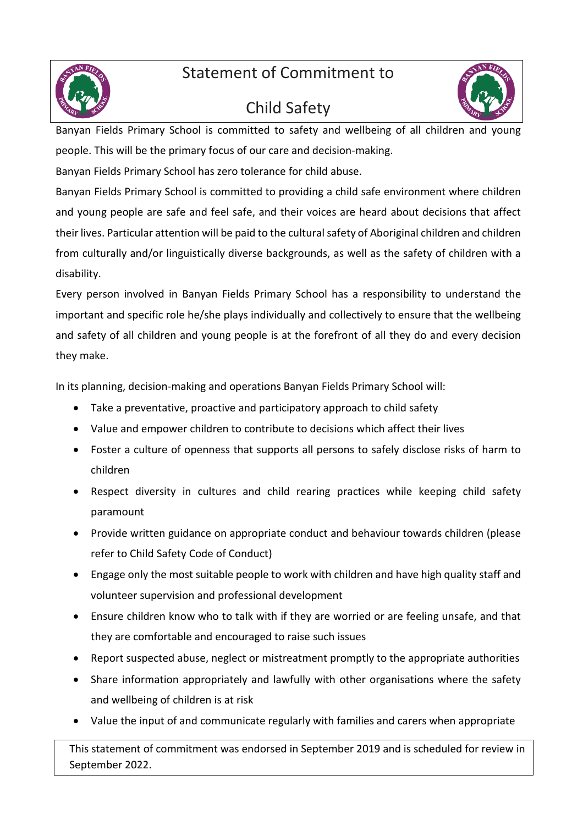Statement of Commitment to



#### Child Safety



Banyan Fields Primary School is committed to safety and wellbeing of all children and young people. This will be the primary focus of our care and decision-making.

Banyan Fields Primary School has zero tolerance for child abuse.

Banyan Fields Primary School is committed to providing a child safe environment where children and young people are safe and feel safe, and their voices are heard about decisions that affect their lives. Particular attention will be paid to the cultural safety of Aboriginal children and children from culturally and/or linguistically diverse backgrounds, as well as the safety of children with a disability.

Every person involved in Banyan Fields Primary School has a responsibility to understand the important and specific role he/she plays individually and collectively to ensure that the wellbeing and safety of all children and young people is at the forefront of all they do and every decision they make.

In its planning, decision-making and operations Banyan Fields Primary School will:

- Take a preventative, proactive and participatory approach to child safety
- Value and empower children to contribute to decisions which affect their lives
- Foster a culture of openness that supports all persons to safely disclose risks of harm to children
- Respect diversity in cultures and child rearing practices while keeping child safety paramount
- Provide written guidance on appropriate conduct and behaviour towards children (please refer to Child Safety Code of Conduct)
- Engage only the most suitable people to work with children and have high quality staff and volunteer supervision and professional development
- Ensure children know who to talk with if they are worried or are feeling unsafe, and that they are comfortable and encouraged to raise such issues
- Report suspected abuse, neglect or mistreatment promptly to the appropriate authorities
- Share information appropriately and lawfully with other organisations where the safety and wellbeing of children is at risk
- Value the input of and communicate regularly with families and carers when appropriate

This statement of commitment was endorsed in September 2019 and is scheduled for review in September 2022.